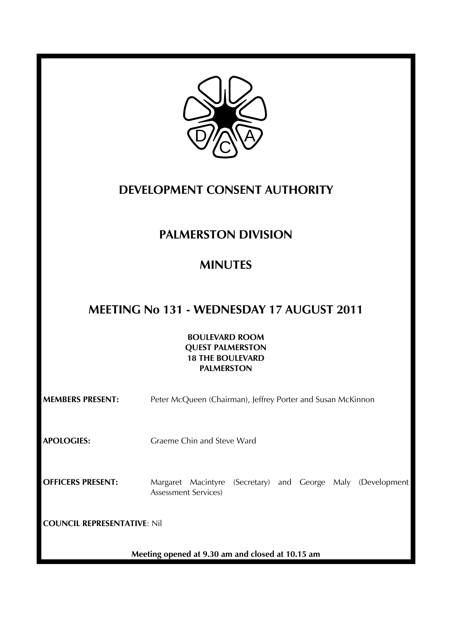

## **DEVELOPMENT CONSENT AUTHORITY**

# **PALMERSTON DIVISION**

# **MINUTES**

# **MEETING No 131 - WEDNESDAY 17 AUGUST 2011**

**BOULEVARD ROOM QUEST PALMERSTON 18 THE BOULEVARD PALMERSTON** 

| <b>MEMBERS PRESENT:</b>            | Peter McQueen (Chairman), Jeffrey Porter and Susan McKinnon                                    |
|------------------------------------|------------------------------------------------------------------------------------------------|
| <b>APOLOGIES:</b>                  | Graeme Chin and Steve Ward                                                                     |
| <b>OFFICERS PRESENT:</b>           | (Secretary) and George Maly (Development<br>Margaret Macintyre<br><b>Assessment Services</b> ) |
| <b>COUNCIL REPRESENTATIVE: Nil</b> |                                                                                                |
|                                    | Meeting opened at 9.30 am and closed at 10.15 am                                               |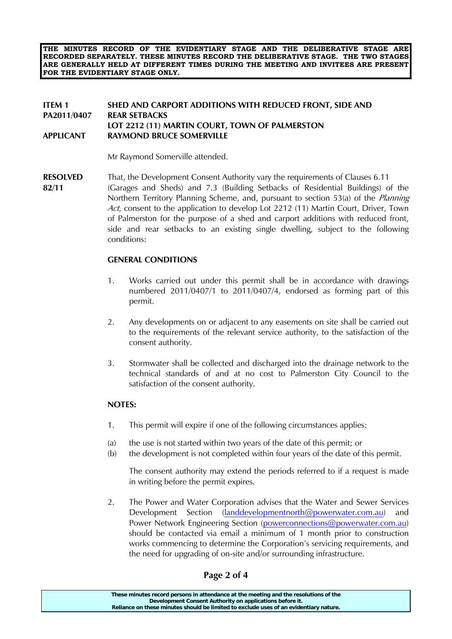**THE MINUTES RECORD OF THE EVIDENTIARY STAGE AND THE DELIBERATIVE STAGE ARE RECORDED SEPARATELY. THESE MINUTES RECORD THE DELIBERATIVE STAGE. THE TWO STAGES ARE GENERALLY HELD AT DIFFERENT TIMES DURING THE MEETING AND INVITEES ARE PRESENT FOR THE EVIDENTIARY STAGE ONLY.** 

#### **ITEM 1 SHED AND CARPORT ADDITIONS WITH REDUCED FRONT, SIDE AND PA2011/0407 REAR SETBACKS LOT 2212 (11) MARTIN COURT, TOWN OF PALMERSTON APPLICANT RAYMOND BRUCE SOMERVILLE**

Mr Raymond Somerville attended.

**RESOLVED** That, the Development Consent Authority vary the requirements of Clauses 6.11 **82/11** (Garages and Sheds) and 7.3 (Building Setbacks of Residential Buildings) of the Northern Territory Planning Scheme, and, pursuant to section 53(a) of the *Planning* Act, consent to the application to develop Lot 2212 (11) Martin Court, Driver, Town of Palmerston for the purpose of a shed and carport additions with reduced front, side and rear setbacks to an existing single dwelling, subject to the following conditions:

### **GENERAL CONDITIONS**

- 1. Works carried out under this permit shall be in accordance with drawings numbered 2011/0407/1 to 2011/0407/4, endorsed as forming part of this permit.
- 2. Any developments on or adjacent to any easements on site shall be carried out to the requirements of the relevant service authority, to the satisfaction of the consent authority.
- 3. Stormwater shall be collected and discharged into the drainage network to the technical standards of and at no cost to Palmerston City Council to the satisfaction of the consent authority.

#### **NOTES:**

- 1. This permit will expire if one of the following circumstances applies:
- (a) the use is not started within two years of the date of this permit; or
- (b) the development is not completed within four years of the date of this permit.

 The consent authority may extend the periods referred to if a request is made in writing before the permit expires.

2. The Power and Water Corporation advises that the Water and Sewer Services Development Section (landdevelopmentnorth@powerwater.com.au) and Power Network Engineering Section (powerconnections@powerwater.com.au) should be contacted via email a minimum of 1 month prior to construction works commencing to determine the Corporation's servicing requirements, and the need for upgrading of on-site and/or surrounding infrastructure.

### **Page 2 of 4**

| These minutes record persons in attendance at the meeting and the resolutions of the  |
|---------------------------------------------------------------------------------------|
| Development Consent Authority on applications before it.                              |
| Reliance on these minutes should be limited to exclude uses of an evidentiary nature. |
|                                                                                       |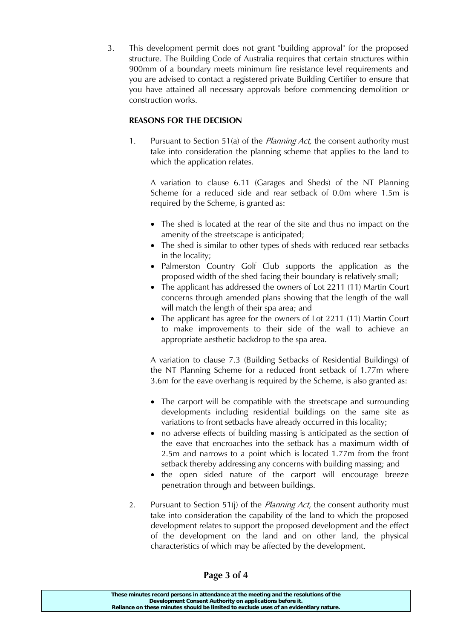3. This development permit does not grant "building approval" for the proposed structure. The Building Code of Australia requires that certain structures within 900mm of a boundary meets minimum fire resistance level requirements and you are advised to contact a registered private Building Certifier to ensure that you have attained all necessary approvals before commencing demolition or construction works.

### **REASONS FOR THE DECISION**

1. Pursuant to Section 51(a) of the *Planning Act*, the consent authority must take into consideration the planning scheme that applies to the land to which the application relates.

 A variation to clause 6.11 (Garages and Sheds) of the NT Planning Scheme for a reduced side and rear setback of 0.0m where 1.5m is required by the Scheme, is granted as:

- The shed is located at the rear of the site and thus no impact on the amenity of the streetscape is anticipated;
- The shed is similar to other types of sheds with reduced rear setbacks in the locality;
- Palmerston Country Golf Club supports the application as the proposed width of the shed facing their boundary is relatively small;
- The applicant has addressed the owners of Lot 2211 (11) Martin Court concerns through amended plans showing that the length of the wall will match the length of their spa area; and
- The applicant has agree for the owners of Lot 2211 (11) Martin Court to make improvements to their side of the wall to achieve an appropriate aesthetic backdrop to the spa area.

 A variation to clause 7.3 (Building Setbacks of Residential Buildings) of the NT Planning Scheme for a reduced front setback of 1.77m where 3.6m for the eave overhang is required by the Scheme, is also granted as:

- The carport will be compatible with the streetscape and surrounding developments including residential buildings on the same site as variations to front setbacks have already occurred in this locality;
- no adverse effects of building massing is anticipated as the section of the eave that encroaches into the setback has a maximum width of 2.5m and narrows to a point which is located 1.77m from the front setback thereby addressing any concerns with building massing; and
- the open sided nature of the carport will encourage breeze penetration through and between buildings.
- 2. Pursuant to Section 51(j) of the *Planning Act*, the consent authority must take into consideration the capability of the land to which the proposed development relates to support the proposed development and the effect of the development on the land and on other land, the physical characteristics of which may be affected by the development.

**These minutes record persons in attendance at the meeting and the resolutions of the Development Consent Authority on applications before it. Reliance on these minutes should be limited to exclude uses of an evidentiary nature.**